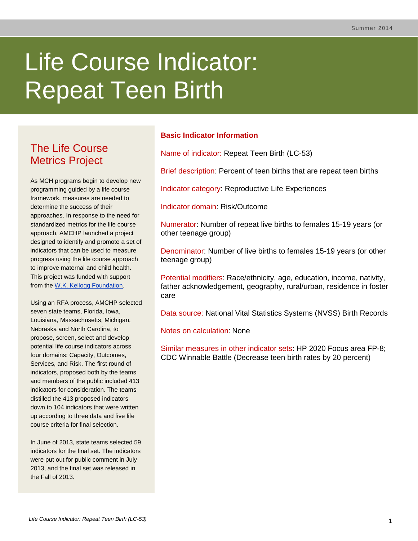# Life Course Indicator: Repeat Teen Birth

# The Life Course Metrics Project

As MCH programs begin to develop new programming guided by a life course framework, measures are needed to determine the success of their approaches. In response to the need for standardized metrics for the life course approach, AMCHP launched a project designed to identify and promote a set of indicators that can be used to measure progress using the life course approach to improve maternal and child health. This project was funded with support from the [W.K. Kellogg Foundation.](http://www.wkkf.org/)

Using an RFA process, AMCHP selected seven state teams, Florida, Iowa, Louisiana, Massachusetts, Michigan, Nebraska and North Carolina, to propose, screen, select and develop potential life course indicators across four domains: Capacity, Outcomes, Services, and Risk. The first round of indicators, proposed both by the teams and members of the public included 413 indicators for consideration. The teams distilled the 413 proposed indicators down to 104 indicators that were written up according to three data and five life course criteria for final selection.

In June of 2013, state teams selected 59 indicators for the final set. The indicators were put out for public comment in July 2013, and the final set was released in the Fall of 2013.

# **Basic Indicator Information**

Name of indicator: Repeat Teen Birth (LC-53)

Brief description: Percent of teen births that are repeat teen births

Indicator category: Reproductive Life Experiences

Indicator domain: Risk/Outcome

Numerator: Number of repeat live births to females 15-19 years (or other teenage group)

Denominator: Number of live births to females 15-19 years (or other teenage group)

Potential modifiers: Race/ethnicity, age, education, income, nativity, father acknowledgement, geography, rural/urban, residence in foster care

Data source: National Vital Statistics Systems (NVSS) Birth Records

Notes on calculation: None

Similar measures in other indicator sets: HP 2020 Focus area FP-8; CDC Winnable Battle (Decrease teen birth rates by 20 percent)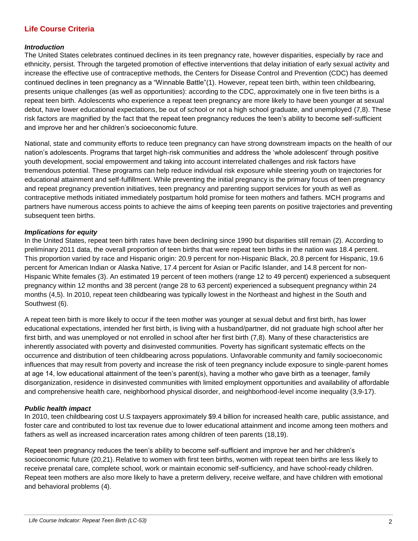# **Life Course Criteria**

#### *Introduction*

The United States celebrates continued declines in its teen pregnancy rate, however disparities, especially by race and ethnicity, persist. Through the targeted promotion of effective interventions that delay initiation of early sexual activity and increase the effective use of contraceptive methods, the Centers for Disease Control and Prevention (CDC) has deemed continued declines in teen pregnancy as a "Winnable Battle"(1). However, repeat teen birth, within teen childbearing, presents unique challenges (as well as opportunities): according to the CDC, approximately one in five teen births is a repeat teen birth. Adolescents who experience a repeat teen pregnancy are more likely to have been younger at sexual debut, have lower educational expectations, be out of school or not a high school graduate, and unemployed (7,8). These risk factors are magnified by the fact that the repeat teen pregnancy reduces the teen's ability to become self-sufficient and improve her and her children's socioeconomic future.

National, state and community efforts to reduce teen pregnancy can have strong downstream impacts on the health of our nation's adolescents. Programs that target high-risk communities and address the 'whole adolescent' through positive youth development, social empowerment and taking into account interrelated challenges and risk factors have tremendous potential. These programs can help reduce individual risk exposure while steering youth on trajectories for educational attainment and self-fulfillment. While preventing the initial pregnancy is the primary focus of teen pregnancy and repeat pregnancy prevention initiatives, teen pregnancy and parenting support services for youth as well as contraceptive methods initiated immediately postpartum hold promise for teen mothers and fathers. MCH programs and partners have numerous access points to achieve the aims of keeping teen parents on positive trajectories and preventing subsequent teen births.

#### *Implications for equity*

In the United States, repeat teen birth rates have been declining since 1990 but disparities still remain (2). According to preliminary 2011 data, the overall proportion of teen births that were repeat teen births in the nation was 18.4 percent. This proportion varied by race and Hispanic origin: 20.9 percent for non-Hispanic Black, 20.8 percent for Hispanic, 19.6 percent for American Indian or Alaska Native, 17.4 percent for Asian or Pacific Islander, and 14.8 percent for non-Hispanic White females (3). An estimated 19 percent of teen mothers (range 12 to 49 percent) experienced a subsequent pregnancy within 12 months and 38 percent (range 28 to 63 percent) experienced a subsequent pregnancy within 24 months (4,5). In 2010, repeat teen childbearing was typically lowest in the Northeast and highest in the South and Southwest (6).

A repeat teen birth is more likely to occur if the teen mother was younger at sexual debut and first birth, has lower educational expectations, intended her first birth, is living with a husband/partner, did not graduate high school after her first birth, and was unemployed or not enrolled in school after her first birth (7,8). Many of these characteristics are inherently associated with poverty and disinvested communities. Poverty has significant systematic effects on the occurrence and distribution of teen childbearing across populations. Unfavorable community and family socioeconomic influences that may result from poverty and increase the risk of teen pregnancy include exposure to single-parent homes at age 14, low educational attainment of the teen's parent(s), having a mother who gave birth as a teenager, family disorganization, residence in disinvested communities with limited employment opportunities and availability of affordable and comprehensive health care, neighborhood physical disorder, and neighborhood-level income inequality (3,9-17).

#### *Public health impact*

In 2010, teen childbearing cost U.S taxpayers approximately \$9.4 billion for increased health care, public assistance, and foster care and contributed to lost tax revenue due to lower educational attainment and income among teen mothers and fathers as well as increased incarceration rates among children of teen parents (18,19).

Repeat teen pregnancy reduces the teen's ability to become self-sufficient and improve her and her children's socioeconomic future (20,21). Relative to women with first teen births, women with repeat teen births are less likely to receive prenatal care, complete school, work or maintain economic self-sufficiency, and have school-ready children. Repeat teen mothers are also more likely to have a preterm delivery, receive welfare, and have children with emotional and behavioral problems (4).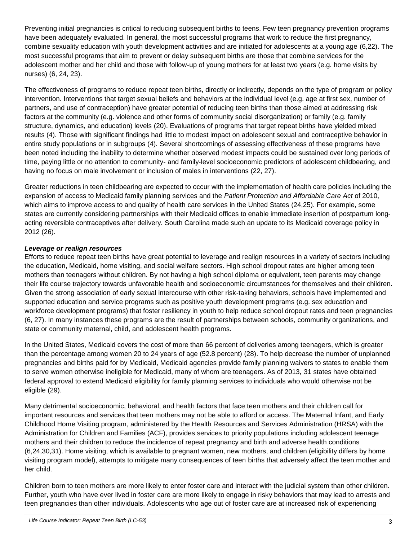Preventing initial pregnancies is critical to reducing subsequent births to teens. Few teen pregnancy prevention programs have been adequately evaluated. In general, the most successful programs that work to reduce the first pregnancy, combine sexuality education with youth development activities and are initiated for adolescents at a young age (6,22). The most successful programs that aim to prevent or delay subsequent births are those that combine services for the adolescent mother and her child and those with follow-up of young mothers for at least two years (e.g. home visits by nurses) (6, 24, 23).

The effectiveness of programs to reduce repeat teen births, directly or indirectly, depends on the type of program or policy intervention. Interventions that target sexual beliefs and behaviors at the individual level (e.g. age at first sex, number of partners, and use of contraception) have greater potential of reducing teen births than those aimed at addressing risk factors at the community (e.g. violence and other forms of community social disorganization) or family (e.g. family structure, dynamics, and education) levels (20). Evaluations of programs that target repeat births have yielded mixed results (4). Those with significant findings had little to modest impact on adolescent sexual and contraceptive behavior in entire study populations or in subgroups (4). Several shortcomings of assessing effectiveness of these programs have been noted including the inability to determine whether observed modest impacts could be sustained over long periods of time, paying little or no attention to community- and family-level socioeconomic predictors of adolescent childbearing, and having no focus on male involvement or inclusion of males in interventions (22, 27).

Greater reductions in teen childbearing are expected to occur with the implementation of health care policies including the expansion of access to Medicaid family planning services and the *Patient Protection and Affordable Care Act* of 2010, which aims to improve access to and quality of health care services in the United States (24,25). For example, some states are currently considering partnerships with their Medicaid offices to enable immediate insertion of postpartum longacting reversible contraceptives after delivery. South Carolina made such an update to its Medicaid coverage policy in 2012 (26).

# *Leverage or realign resources*

Efforts to reduce repeat teen births have great potential to leverage and realign resources in a variety of sectors including the education, Medicaid, home visiting, and social welfare sectors. High school dropout rates are higher among teen mothers than teenagers without children. By not having a high school diploma or equivalent, teen parents may change their life course trajectory towards unfavorable health and socioeconomic circumstances for themselves and their children. Given the strong association of early sexual intercourse with other risk-taking behaviors, schools have implemented and supported education and service programs such as positive youth development programs (e.g. sex education and workforce development programs) that foster resiliency in youth to help reduce school dropout rates and teen pregnancies (6, 27). In many instances these programs are the result of partnerships between schools, community organizations, and state or community maternal, child, and adolescent health programs.

In the United States, Medicaid covers the cost of more than 66 percent of deliveries among teenagers, which is greater than the percentage among women 20 to 24 years of age (52.8 percent) (28). To help decrease the number of unplanned pregnancies and births paid for by Medicaid, Medicaid agencies provide family planning waivers to states to enable them to serve women otherwise ineligible for Medicaid, many of whom are teenagers. As of 2013, 31 states have obtained federal approval to extend Medicaid eligibility for family planning services to individuals who would otherwise not be eligible (29).

Many detrimental socioeconomic, behavioral, and health factors that face teen mothers and their children call for important resources and services that teen mothers may not be able to afford or access. The Maternal Infant, and Early Childhood Home Visiting program, administered by the Health Resources and Services Administration (HRSA) with the Administration for Children and Families (ACF), provides services to priority populations including adolescent teenage mothers and their children to reduce the incidence of repeat pregnancy and birth and adverse health conditions (6,24,30,31). Home visiting, which is available to pregnant women, new mothers, and children (eligibility differs by home visiting program model), attempts to mitigate many consequences of teen births that adversely affect the teen mother and her child.

Children born to teen mothers are more likely to enter foster care and interact with the judicial system than other children. Further, youth who have ever lived in foster care are more likely to engage in risky behaviors that may lead to arrests and teen pregnancies than other individuals. Adolescents who age out of foster care are at increased risk of experiencing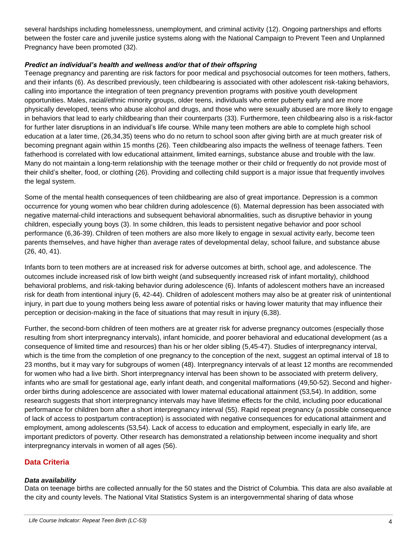several hardships including homelessness, unemployment, and criminal activity (12). Ongoing partnerships and efforts between the foster care and juvenile justice systems along with the National Campaign to Prevent Teen and Unplanned Pregnancy have been promoted (32).

### *Predict an individual's health and wellness and/or that of their offspring*

Teenage pregnancy and parenting are risk factors for poor medical and psychosocial outcomes for teen mothers, fathers, and their infants (6). As described previously, teen childbearing is associated with other adolescent risk-taking behaviors, calling into importance the integration of teen pregnancy prevention programs with positive youth development opportunities. Males, racial/ethnic minority groups, older teens, individuals who enter puberty early and are more physically developed, teens who abuse alcohol and drugs, and those who were sexually abused are more likely to engage in behaviors that lead to early childbearing than their counterparts (33). Furthermore, teen childbearing also is a risk-factor for further later disruptions in an individual's life course. While many teen mothers are able to complete high school education at a later time, (26,34,35) teens who do no return to school soon after giving birth are at much greater risk of becoming pregnant again within 15 months (26). Teen childbearing also impacts the wellness of teenage fathers. Teen fatherhood is correlated with low educational attainment, limited earnings, substance abuse and trouble with the law. Many do not maintain a long-term relationship with the teenage mother or their child or frequently do not provide most of their child's shelter, food, or clothing (26). Providing and collecting child support is a major issue that frequently involves the legal system.

Some of the mental health consequences of teen childbearing are also of great importance. Depression is a common occurrence for young women who bear children during adolescence (6). Maternal depression has been associated with negative maternal-child interactions and subsequent behavioral abnormalities, such as disruptive behavior in young children, especially young boys (3). In some children, this leads to persistent negative behavior and poor school performance (6,36-39). Children of teen mothers are also more likely to engage in sexual activity early, become teen parents themselves, and have higher than average rates of developmental delay, school failure, and substance abuse (26, 40, 41).

Infants born to teen mothers are at increased risk for adverse outcomes at birth, school age, and adolescence. The outcomes include increased risk of low birth weight (and subsequently increased risk of infant mortality), childhood behavioral problems, and risk-taking behavior during adolescence (6). Infants of adolescent mothers have an increased risk for death from intentional injury (6, 42-44). Children of adolescent mothers may also be at greater risk of unintentional injury, in part due to young mothers being less aware of potential risks or having lower maturity that may influence their perception or decision-making in the face of situations that may result in injury (6,38).

Further, the second-born children of teen mothers are at greater risk for adverse pregnancy outcomes (especially those resulting from short interpregnancy intervals), infant homicide, and poorer behavioral and educational development (as a consequence of limited time and resources) than his or her older sibling (5,45-47). Studies of interpregnancy interval, which is the time from the completion of one pregnancy to the conception of the next, suggest an optimal interval of 18 to 23 months, but it may vary for subgroups of women (48). Interpregnancy intervals of at least 12 months are recommended for women who had a live birth. Short interpregnancy interval has been shown to be associated with preterm delivery, infants who are small for gestational age, early infant death, and congenital malformations (49,50-52). Second and higherorder births during adolescence are associated with lower maternal educational attainment (53,54). In addition, some research suggests that short interpregnancy intervals may have lifetime effects for the child, including poor educational performance for children born after a short interpregnancy interval (55). Rapid repeat pregnancy (a possible consequence of lack of access to postpartum contraception) is associated with negative consequences for educational attainment and employment, among adolescents (53,54). Lack of access to education and employment, especially in early life, are important predictors of poverty. Other research has demonstrated a relationship between income inequality and short interpregnancy intervals in women of all ages (56).

# **Data Criteria**

# *Data availability*

Data on teenage births are collected annually for the 50 states and the District of Columbia. This data are also available at the city and county levels. The National Vital Statistics System is an intergovernmental sharing of data whose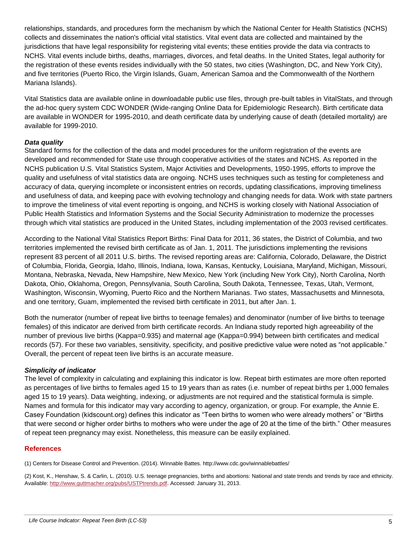relationships, standards, and procedures form the mechanism by which the National Center for Health Statistics (NCHS) collects and disseminates the nation's official vital statistics. Vital event data are collected and maintained by the jurisdictions that have legal responsibility for registering vital events; these entities provide the data via contracts to NCHS. Vital events include births, deaths, marriages, divorces, and fetal deaths. In the United States, legal authority for the registration of these events resides individually with the 50 states, two cities (Washington, DC, and New York City), and five territories (Puerto Rico, the Virgin Islands, Guam, American Samoa and the Commonwealth of the Northern Mariana Islands).

Vital Statistics data are available online in downloadable public use files, through pre-built tables in VitalStats, and through the ad-hoc query system CDC WONDER (Wide-ranging Online Data for Epidemiologic Research). Birth certificate data are available in WONDER for 1995-2010, and death certificate data by underlying cause of death (detailed mortality) are available for 1999-2010.

## *Data quality*

Standard forms for the collection of the data and model procedures for the uniform registration of the events are developed and recommended for State use through cooperative activities of the states and NCHS. As reported in the NCHS publication U.S. Vital Statistics System, Major Activities and Developments, 1950-1995, efforts to improve the quality and usefulness of vital statistics data are ongoing. NCHS uses techniques such as testing for completeness and accuracy of data, querying incomplete or inconsistent entries on records, updating classifications, improving timeliness and usefulness of data, and keeping pace with evolving technology and changing needs for data. Work with state partners to improve the timeliness of vital event reporting is ongoing, and NCHS is working closely with National Association of Public Health Statistics and Information Systems and the Social Security Administration to modernize the processes through which vital statistics are produced in the United States, including implementation of the 2003 revised certificates.

According to the National Vital Statistics Report Births: Final Data for 2011, 36 states, the District of Columbia, and two territories implemented the revised birth certificate as of Jan. 1, 2011. The jurisdictions implementing the revisions represent 83 percent of all 2011 U.S. births. The revised reporting areas are: California, Colorado, Delaware, the District of Columbia, Florida, Georgia, Idaho, Illinois, Indiana, Iowa, Kansas, Kentucky, Louisiana, Maryland, Michigan, Missouri, Montana, Nebraska, Nevada, New Hampshire, New Mexico, New York (including New York City), North Carolina, North Dakota, Ohio, Oklahoma, Oregon, Pennsylvania, South Carolina, South Dakota, Tennessee, Texas, Utah, Vermont, Washington, Wisconsin, Wyoming, Puerto Rico and the Northern Marianas. Two states, Massachusetts and Minnesota, and one territory, Guam, implemented the revised birth certificate in 2011, but after Jan. 1.

Both the numerator (number of repeat live births to teenage females) and denominator (number of live births to teenage females) of this indicator are derived from birth certificate records. An Indiana study reported high agreeability of the number of previous live births (Kappa=0.935) and maternal age (Kappa=0.994) between birth certificates and medical records (57). For these two variables, sensitivity, specificity, and positive predictive value were noted as "not applicable." Overall, the percent of repeat teen live births is an accurate measure.

#### *Simplicity of indicator*

The level of complexity in calculating and explaining this indicator is low. Repeat birth estimates are more often reported as percentages of live births to females aged 15 to 19 years than as rates (i.e. number of repeat births per 1,000 females aged 15 to 19 years). Data weighting, indexing, or adjustments are not required and the statistical formula is simple. Names and formula for this indicator may vary according to agency, organization, or group. For example, the Annie E. Casey Foundation (kidscount.org) defines this indicator as "Teen births to women who were already mothers" or "Births that were second or higher order births to mothers who were under the age of 20 at the time of the birth." Other measures of repeat teen pregnancy may exist. Nonetheless, this measure can be easily explained.

#### **References**

(1) Centers for Disease Control and Prevention. (2014). Winnable Battes. http://www.cdc.gov/winnablebattles/

(2) Kost, K., Henshaw, S. & Carlin, L. (2010). U.S. teenage pregnancies, births and abortions: National and state trends and trends by race and ethnicity. Available: [http://www.guttmacher.org/pubs/USTPtrends.pdf.](http://www.guttmacher.org/pubs/USTPtrends.pdf) Accessed: January 31, 2013.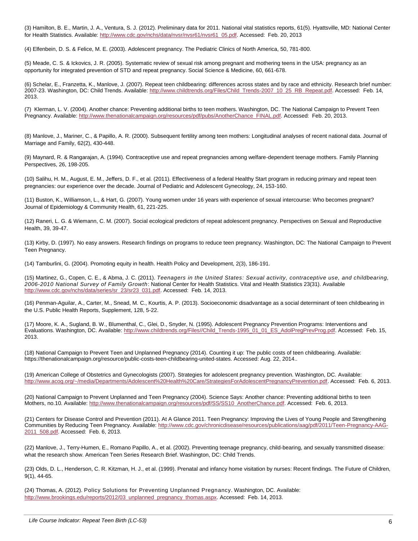(3) Hamilton, B. E., Martin, J. A., Ventura, S. J. (2012). Preliminary data for 2011. National vital statistics reports, 61(5). Hyattsville, MD: National Center for Health Statistics. Available: [http://www.cdc.gov/nchs/data/nvsr/nvsr61/nvsr61\\_05.pdf.](http://www.cdc.gov/nchs/data/nvsr/nvsr61/nvsr61_05.pdf) Accessed: Feb. 20, 2013

(4) Elfenbein, D. S. & Felice, M. E. (2003). Adolescent pregnancy. The Pediatric Clinics of North America, 50, 781-800.

(5) Meade, C. S. & Ickovics, J. R. (2005). Systematic review of sexual risk among pregnant and mothering teens in the USA: pregnancy as an opportunity for integrated prevention of STD and repeat pregnancy. Social Science & Medicine, 60, 661-678.

(6) Schelar, E., Franzetta, K., Manlove, J. (2007). Repeat teen childbearing: differences across states and by race and ethnicity. Research brief number: 2007-23. Washington, DC: Child Trends. Available: [http://www.childtrends.org/Files/Child\\_Trends-2007\\_10\\_25\\_RB\\_Repeat.pdf.](http://www.childtrends.org/Files/Child_Trends-2007_10_25_RB_Repeat.pdf) Accessed: Feb. 14, 2013.

(7) Klerman, L. V. (2004). Another chance: Preventing additional births to teen mothers. Washington, DC. The National Campaign to Prevent Teen Pregnancy. Available[: http://www.thenationalcampaign.org/resources/pdf/pubs/AnotherChance\\_FINAL.pdf.](http://www.thenationalcampaign.org/resources/pdf/pubs/AnotherChance_FINAL.pdf) Accessed: Feb. 20, 2013.

(8) Manlove, J., Mariner, C., & Papillo, A. R. (2000). Subsequent fertility among teen mothers: Longitudinal analyses of recent national data. Journal of Marriage and Family, 62(2), 430-448.

(9) Maynard, R. & Rangarajan, A. (1994). Contraceptive use and repeat pregnancies among welfare-dependent teenage mothers. Family Planning Perspectives, 26, 198-205.

(10) Salihu, H. M., August, E. M., Jeffers, D. F., et al. (2011). Effectiveness of a federal Healthy Start program in reducing primary and repeat teen pregnancies: our experience over the decade. Journal of Pediatric and Adolescent Gynecology, 24, 153-160.

(11) Buston, K., Williamson, L., & Hart, G. (2007). Young women under 16 years with experience of sexual intercourse: Who becomes pregnant? Journal of Epidemiology & Community Health, 61, 221-225.

(12) Raneri, L. G. & Wiemann, C. M. (2007). Social ecological predictors of repeat adolescent pregnancy. Perspectives on Sexual and Reproductive Health, 39, 39-47.

(13) Kirby, D. (1997). No easy answers. Research findings on programs to reduce teen pregnancy. Washington, DC: The National Campaign to Prevent Teen Pregnancy.

(14) Tamburlini, G. (2004). Promoting equity in health. Health Policy and Development, 2(3), 186-191.

(15) Martinez, G., Copen, C. E., & Abma, J. C. (2011). *Teenagers in the United States: Sexual activity, contraceptive use, and childbearing, 2006-2010 National Survey of Family Growth*: National Center for Health Statistics. Vital and Health Statistics 23(31). Available [http://www.cdc.gov/nchs/data/series/sr\\_23/sr23\\_031.pdf.](http://www.cdc.gov/nchs/data/series/sr_23/sr23_031.pdf) Accessed: Feb. 14, 2013.

(16) Penman-Aguilar, A., Carter, M., Snead, M. C., Kourtis, A. P. (2013). Socioeconomic disadvantage as a social determinant of teen childbearing in the U.S. Public Health Reports, Supplement, 128, 5-22.

(17) Moore, K. A., Sugland, B. W., Blumenthal, C., Glei, D., Snyder, N. (1995). Adolescent Pregnancy Prevention Programs: Interventions and Evaluations. Washington, DC. Available[: http://www.childtrends.org/Files//Child\\_Trends-1995\\_01\\_01\\_ES\\_AdolPregPrevProg.pdf.](http://www.childtrends.org/Files/Child_Trends-1995_01_01_ES_AdolPregPrevProg.pdf) Accessed: Feb. 15, 2013.

(18) National Campaign to Prevent Teen and Unplanned Pregnancy (2014). Counting it up: The public costs of teen childbearing. Available: https://thenationalcampaign.org/resource/public-costs-teen-childbearing-united-states. Accessed: Aug. 22, 2014..

(19) American College of Obstetrics and Gynecologists (2007). Strategies for adolescent pregnancy prevention. Washington, DC. Available: [http://www.acog.org/~/media/Departments/Adolescent%20Health%20Care/StrategiesForAdolescentPregnancyPrevention.pdf.](http://www.acog.org/~/media/Departments/Adolescent%20Health%20Care/StrategiesForAdolescentPregnancyPrevention.pdf) Accessed: Feb. 6, 2013.

(20) National Campaign to Prevent Unplanned and Teen Pregnancy (2004). Science Says: Another chance: Preventing additional births to teen Mothers, no.10. Available[: http://www.thenationalcampaign.org/resources/pdf/SS/SS10\\_AnotherChance.pdf.](http://www.thenationalcampaign.org/resources/pdf/SS/SS10_AnotherChance.pdf) Accessed: Feb. 6, 2013.

(21) Centers for Disease Control and Prevention (2011). At A Glance 2011. Teen Pregnancy: Improving the Lives of Young People and Strengthening Communities by Reducing Teen Pregnancy. Available: http://www.cdc.gov/chronicdisease/resources/publications/aag/pdf/2011/Teen-Pregnancy-AA [2011\\_508.pdf.](http://www.cdc.gov/chronicdisease/resources/publications/aag/pdf/2011/Teen-Pregnancy-AAG-2011_508.pdf) Accessed: Feb. 6, 2013.

(22) Manlove, J., Terry-Humen, E., Romano Papillo, A., et al. (2002). Preventing teenage pregnancy, child-bearing, and sexually transmitted disease: what the research show. American Teen Series Research Brief. Washington, DC: Child Trends.

(23) Olds, D. L., Henderson, C. R. Kitzman, H. J., et al. (1999). Prenatal and infancy home visitation by nurses: Recent findings. The Future of Children, 9(1), 44-65.

(24) Thomas, A. (2012). Policy Solutions for Preventing Unplanned Pregnancy. Washington, DC. Available: [http://www.brookings.edu/reports/2012/03\\_unplanned\\_pregnancy\\_thomas.aspx.](http://www.brookings.edu/reports/2012/03_unplanned_pregnancy_thomas.aspx) Accessed: Feb. 14, 2013.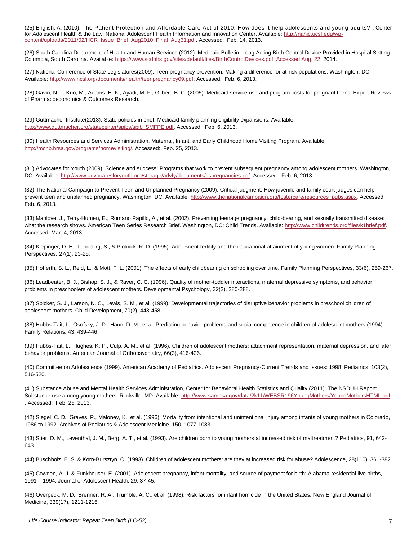(25) English, A. (2010). The Patient Protection and Affordable Care Act of 2010: How does it help adolescents and young adults? : Center for Adolescent Health & the Law, National Adolescent Health Information and Innovation Center. Available: [http://nahic.ucsf.edu/wp](http://nahic.ucsf.edu/wp-content/uploads/2011/02/HCR_Issue_Brief_Aug2010_Final_Aug31.pdf)[content/uploads/2011/02/HCR\\_Issue\\_Brief\\_Aug2010\\_Final\\_Aug31.pdf.](http://nahic.ucsf.edu/wp-content/uploads/2011/02/HCR_Issue_Brief_Aug2010_Final_Aug31.pdf) Accessed: Feb. 14, 2013.

(26) South Carolina Department of Health and Human Services (2012). Medicaid Bulletin: Long Acting Birth Control Device Provided in Hospital Setting. Columbia, South Carolina. Available[: https://www.scdhhs.gov/sites/default/files/BirthControlDevices.pdf. Accessed Aug. 22,](https://www.scdhhs.gov/sites/default/files/BirthControlDevices.pdf.%20Accessed%20August%2022) 2014.

(27) National Conference of State Legislatures(2009). Teen pregnancy prevention; Making a difference for at-risk populations. Washington, DC. Available: [http://www.ncsl.org/documents/health/teenpregnancy09.pdf.](http://www.ncsl.org/documents/health/teenpregnancy09.pdf) Accessed: Feb. 6, 2013.

(28) Gavin, N. I., Kuo, M., Adams, E. K., Ayadi, M. F., Gilbert, B. C. (2005). Medicaid service use and program costs for pregnant teens. Expert Reviews of Pharmacoeconomics & Outcomes Research.

(29) Guttmacher Institute(2013). State policies in brief: Medicaid family planning eligibility expansions. Available: [http://www.guttmacher.org/statecenter/spibs/spib\\_SMFPE.pdf.](http://www.guttmacher.org/statecenter/spibs/spib_SMFPE.pdf) Accessed: Feb. 6, 2013.

(30) Health Resources and Services Administration. Maternal, Infant, and Early Childhood Home Visiting Program. Available: [http://mchb.hrsa.gov/programs/homevisiting/.](http://mchb.hrsa.gov/programs/homevisiting/) Accessed: Feb. 25, 2013.

(31) Advocates for Youth (2009). Science and success: Programs that work to prevent subsequent pregnancy among adolescent mothers. Washington, DC. Available: [http://www.advocatesforyouth.org/storage/advfy/documents/sspregnancies.pdf.](http://www.advocatesforyouth.org/storage/advfy/documents/sspregnancies.pdf) Accessed: Feb. 6, 2013.

(32) The National Campaign to Prevent Teen and Unplanned Pregnancy (2009). Critical judgment: How juvenile and family court judges can help prevent teen and unplanned pregnancy. Washington, DC. Available: [http://www.thenationalcampaign.org/fostercare/resources\\_pubs.aspx.](http://www.thenationalcampaign.org/fostercare/resources_pubs.aspx) Accessed: Feb. 6, 2013.

(33) Manlove, J., Terry-Humen, E., Romano Papillo, A., et al. (2002). Preventing teenage pregnancy, child-bearing, and sexually transmitted disease: what the research shows. American Teen Series Research Brief. Washington, DC: Child Trends. Available: [http://www.childtrends.org/files/k1brief.pdf.](http://www.childtrends.org/files/k1brief.pdf) Accessed: Mar. 4, 2013.

(34) Klepinger, D. H., Lundberg, S., & Plotnick, R. D. (1995). Adolescent fertility and the educational attainment of young women. Family Planning Perspectives, 27(1), 23-28.

(35) Hofferth, S. L., Reid, L., & Mott, F. L. (2001). The effects of early childbearing on schooling over time. Family Planning Perspectives, 33(6), 259-267.

(36) Leadbeater, B. J., Bishop, S. J., & Raver, C. C. (1996). Quality of mother-toddler interactions, maternal depressive symptoms, and behavior problems in preschoolers of adolescent mothers. Developmental Psychology, 32(2), 280-288.

(37) Spicker, S. J., Larson, N. C., Lewis, S. M., et al. (1999). Developmental trajectories of disruptive behavior problems in preschool children of adolescent mothers. Child Development, 70(2), 443-458.

(38) Hubbs-Tait, L., Osofsky, J. D., Hann, D. M., et al. Predicting behavior problems and social competence in children of adolescent mothers (1994). Family Relations, 43, 439-446.

(39) Hubbs-Tait, L., Hughes, K. P., Culp, A. M., et al. (1996). Children of adolescent mothers: attachment representation, maternal depression, and later behavior problems. American Journal of Orthopsychiatry, 66(3), 416-426.

(40) Committee on Adolescence (1999). American Academy of Pediatrics. Adolescent Pregnancy-Current Trends and Issues: 1998. Pediatrics, 103(2), 516-520.

(41) Substance Abuse and Mental Health Services Administration, Center for Behavioral Health Statistics and Quality (2011). The NSDUH Report: Substance use among young mothers. Rockville, MD. Available[: http://www.samhsa.gov/data/2k11/WEBSR196YoungMothers/YoungMothersHTML.pdf](http://www.samhsa.gov/data/2k11/WEBSR196YoungMothers/YoungMothersHTML.pdf) . Accessed: Feb. 25, 2013.

(42) Siegel, C. D., Graves, P., Maloney, K., et al. (1996). Mortality from intentional and unintentional injury among infants of young mothers in Colorado, 1986 to 1992. Archives of Pediatrics & Adolescent Medicine, 150, 1077-1083.

(43) Stier, D. M., Leventhal, J. M., Berg, A. T., et al. (1993). Are children born to young mothers at increased risk of maltreatment? Pediatrics, 91, 642- 643.

(44) Buschholz, E. S. & Korn-Bursztyn, C. (1993). Children of adolescent mothers: are they at increased risk for abuse? Adolescence, 28(110), 361-382.

(45) Cowden, A. J. & Funkhouser, E. (2001). Adolescent pregnancy, infant mortality, and source of payment for birth: Alabama residential live births, 1991 – 1994. Journal of Adolescent Health, 29, 37-45.

(46) Overpeck, M. D., Brenner, R. A., Trumble, A. C., et al. (1998). Risk factors for infant homicide in the United States. New England Journal of Medicine, 339(17), 1211-1216.